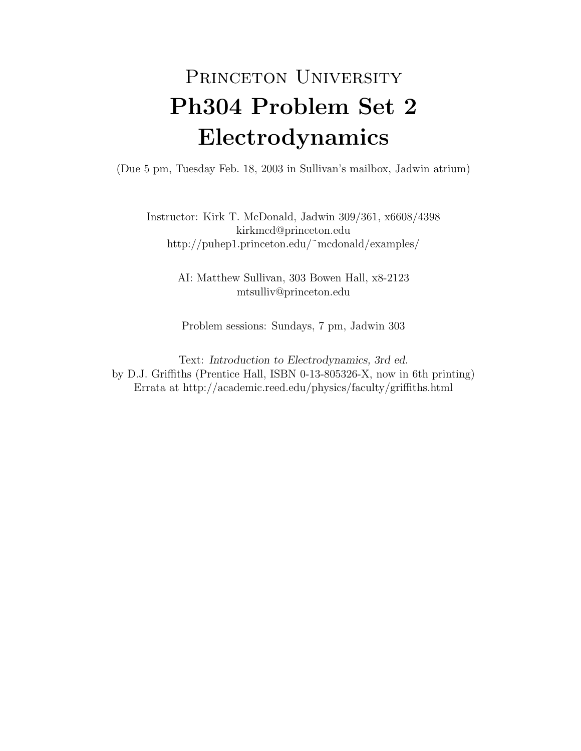## PRINCETON UNIVERSITY Ph304 Problem Set 2 Electrodynamics

(Due 5 pm, Tuesday Feb. 18, 2003 in Sullivan's mailbox, Jadwin atrium)

Instructor: Kirk T. McDonald, Jadwin 309/361, x6608/4398 kirkmcd@princeton.edu http://puhep1.princeton.edu/˜mcdonald/examples/

> AI: Matthew Sullivan, 303 Bowen Hall, x8-2123 mtsulliv@princeton.edu

Problem sessions: Sundays, 7 pm, Jadwin 303

Text: Introduction to Electrodynamics, 3rd ed. by D.J. Griffiths (Prentice Hall, ISBN 0-13-805326-X, now in 6th printing) Errata at http://academic.reed.edu/physics/faculty/griffiths.html